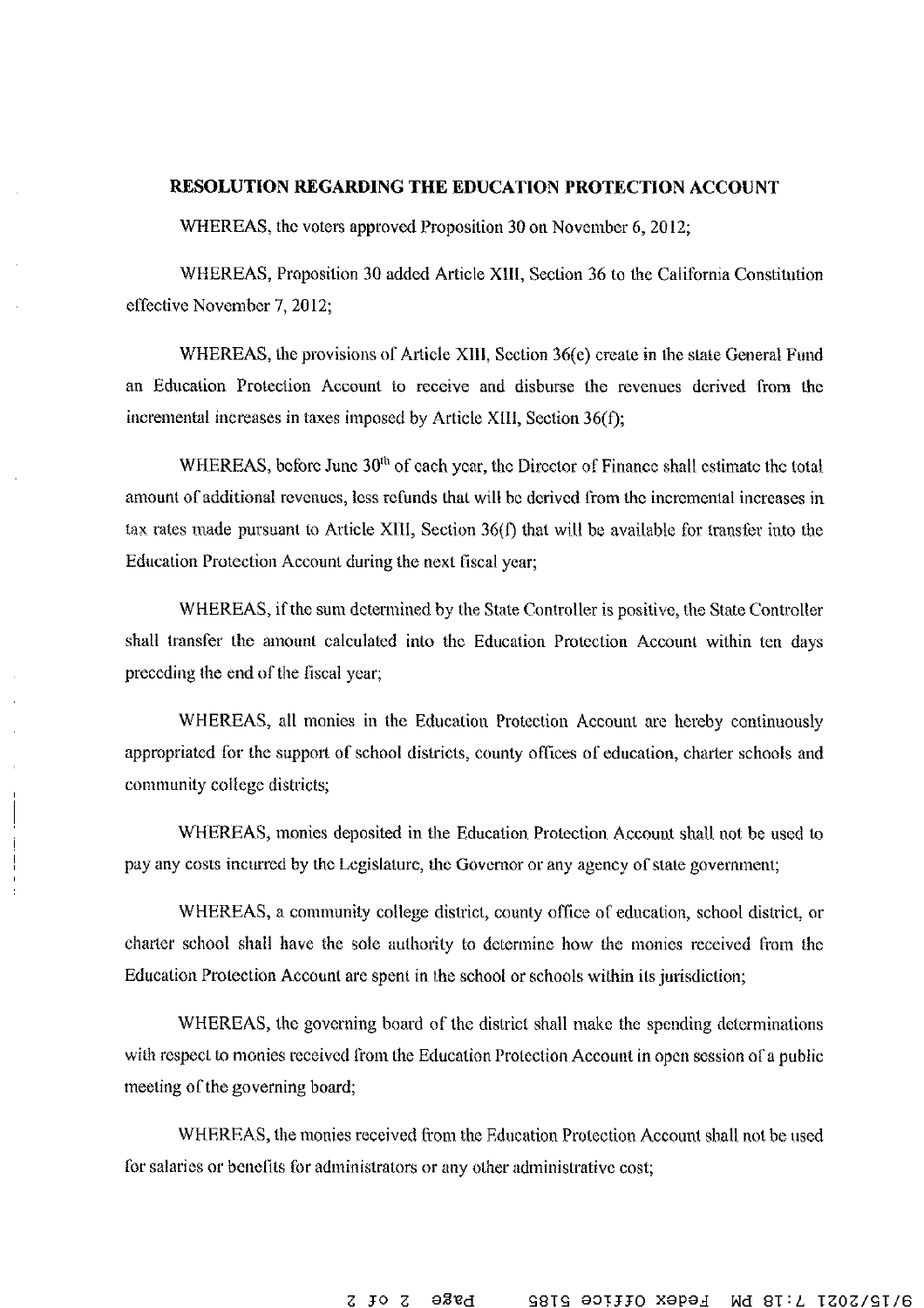## RESOLUTION REGARDING THE EDUCATION PROTECTION ACCOUNT

WHEREAS, the voters approved Proposition 30 on November 6, 2012;

WHEREAS, Proposition 30 added Article XIII, Section 36 to the California Constitution effective November 7, 2012:

WHEREAS, the provisions of Article XIII, Section 36(e) create in the state General Fund an Education Protection Account to receive and disburse the revenues derived from the incremental increases in taxes imposed by Article XIII, Section  $36(f)$ ;

WHEREAS, before June 30<sup>th</sup> of each year, the Director of Finance shall estimate the total amount of additional revenues, less refunds that will be derived from the incremental increases in tax rates made pursuant to Article XIII, Section 36(f) that will be available for transfer into the Education Protection Account during the next fiscal year;

WHEREAS, if the sum determined by the State Controller is positive, the State Controller shall transfer the amount calculated into the Education Protection Account within ten days preceding the end of the fiscal year,

WHEREAS, all monies in the Education Protection Account are hereby continuously appropriated for the support of school districts, county offices of education, charter schools and community college districts;

WHEREAS, monies deposited in the Education Protection Account shall not be used to pay any costs incurred by the Legislature, the Governor or any agency of state government;

WHEREAS, a community college district, county office of education, school district, or charter school shall have the sole authority to determine how the monies received from the Education Protection Account are spent in the school or schools within its jurisdiction;

WHEREAS, the governing board of the district shall make the spending determinations with respect to monies received from the Education Protection Account in open session of a public meeting of the governing board;

WHEREAS, the monies received from the Education Protection Account shall not be used for salaries or benefits for administrators or any other administrative cost;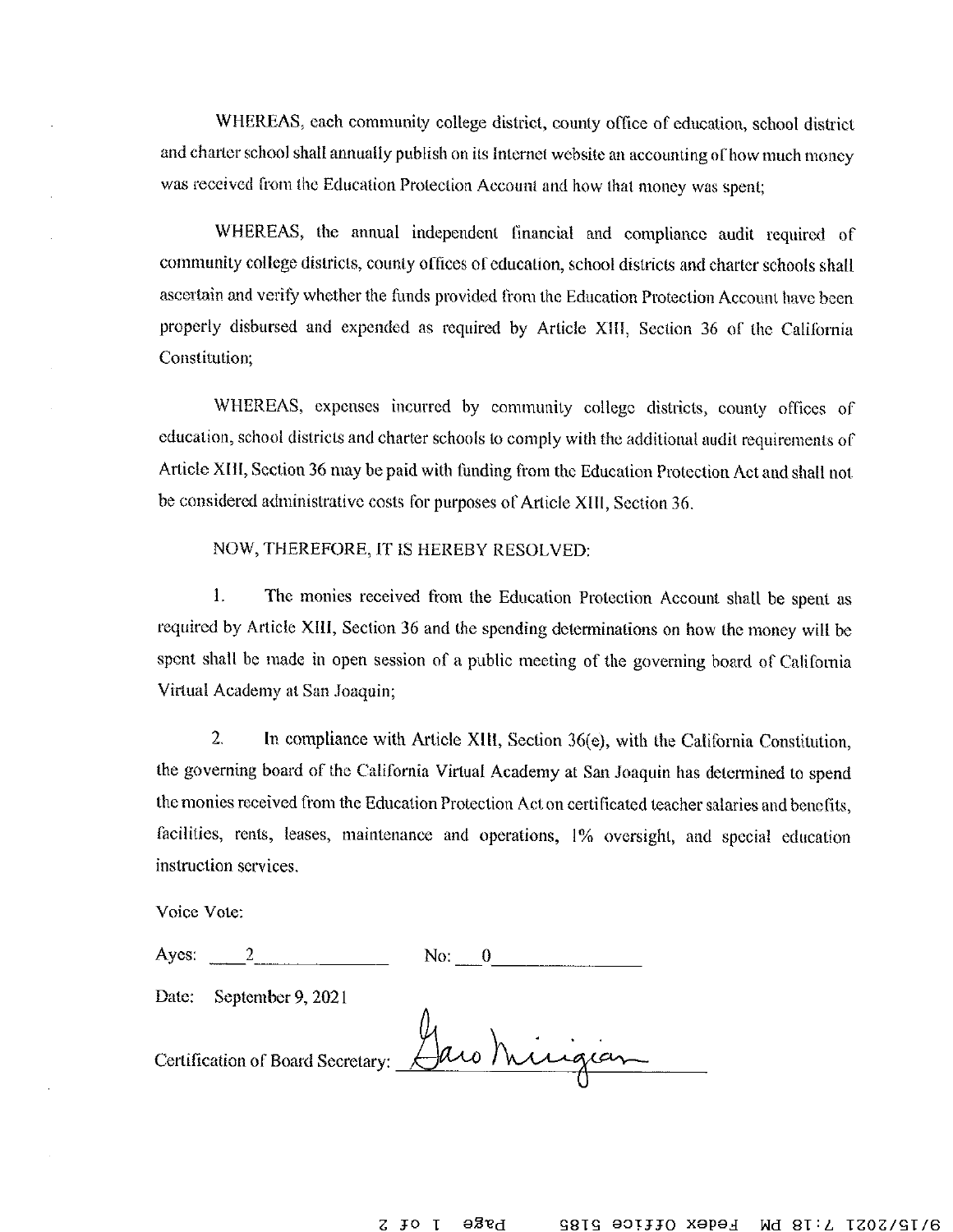WHEREAS, each community college district, county office of education, school district and charter school shall annually publish on its Internet website an accounting of how much money was received from the Education Protection Account and how that money was spent;

WHEREAS, the annual independent financial and compliance audit required of community college districts, county offices of education, school districts and charter schools shall ascertain and verify whether the funds provided from the Education Protection Account have been properly disbursed and expended as required by Article XIII, Section 36 of the California Constitution;

WHEREAS, expenses incurred by community college districts, county offices of education, school districts and charter schools to comply with the additional audit requirements of Article XIII, Section 36 may be paid with funding from the Education Protection Act and shall not be considered administrative costs for purposes of Article XIII, Section 36.

## NOW, THEREFORE, IT IS HEREBY RESOLVED:

The monies received from the Education Protection Account shall be spent as 1. required by Article XIII, Section 36 and the spending determinations on how the money will be spent shall be made in open session of a public meeting of the governing board of California Virtual Academy at San Joaquin;

 $\overline{2}$ In compliance with Article XIII, Section 36(e), with the California Constitution, the governing board of the California Virtual Academy at San Joaquin has determined to spend the monies received from the Education Protection Act on certificated teacher salaries and benefits, facilities, rents, leases, maintenance and operations, 1% oversight, and special education instruction services.

Voice Vote:

| Ayes: |                         | No:                                            |
|-------|-------------------------|------------------------------------------------|
|       | Date: September 9, 2021 |                                                |
|       |                         | Certification of Board Secretary: Jaro Mingran |

brge  $J^{\circ}$  1 Fedex Office 5185 z. Md 8I: L 1707/91/6